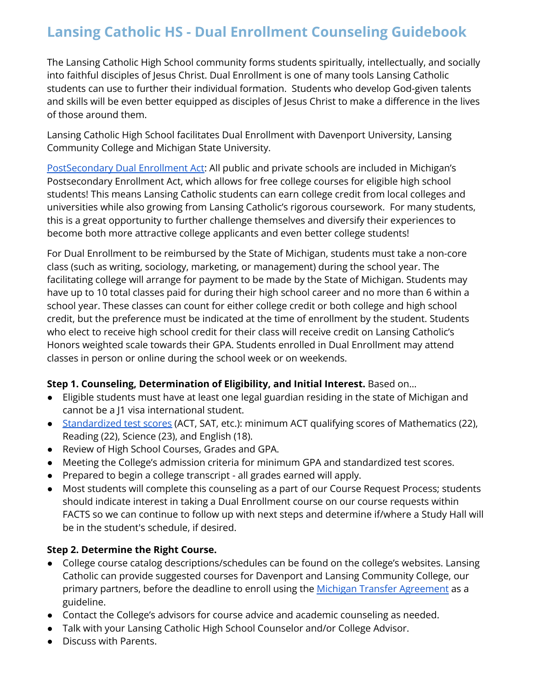The Lansing Catholic High School community forms students spiritually, intellectually, and socially into faithful disciples of Jesus Christ. Dual Enrollment is one of many tools Lansing Catholic students can use to further their individual formation. Students who develop God-given talents and skills will be even better equipped as disciples of Jesus Christ to make a difference in the lives of those around them.

Lansing Catholic High School facilitates Dual Enrollment with Davenport University, Lansing Community College and Michigan State University.

[PostSecondary](http://www.legislature.mi.gov/(S(1umwgt25qnhbhe2nkfsup3k5))/documents/mcl/pdf/mcl-Act-160-of-1996.pdf) Dual Enrollment Act: All public and private schools are included in Michigan's Postsecondary Enrollment Act, which allows for free college courses for eligible high school students! This means Lansing Catholic students can earn college credit from local colleges and universities while also growing from Lansing Catholic's rigorous coursework. For many students, this is a great opportunity to further challenge themselves and diversify their experiences to become both more attractive college applicants and even better college students!

For Dual Enrollment to be reimbursed by the State of Michigan, students must take a non-core class (such as writing, sociology, marketing, or management) during the school year. The facilitating college will arrange for payment to be made by the State of Michigan. Students may have up to 10 total classes paid for during their high school career and no more than 6 within a school year. These classes can count for either college credit or both college and high school credit, but the preference must be indicated at the time of enrollment by the student. Students who elect to receive high school credit for their class will receive credit on Lansing Catholic's Honors weighted scale towards their GPA. Students enrolled in Dual Enrollment may attend classes in person or online during the school week or on weekends.

### **Step 1. Counseling, Determination of Eligibility, and Initial Interest.** Based on…

- Eligible students must have at least one legal guardian residing in the state of Michigan and cannot be a J1 visa international student.
- [Standardized](https://www.michigan.gov/documents/mde/2021-22_Minimum_DE_Qualifying_Scores_731468_7.pdf) test scores (ACT, SAT, etc.): minimum ACT qualifying scores of Mathematics (22), Reading (22), Science (23), and English (18).
- Review of High School Courses, Grades and GPA.
- Meeting the College's admission criteria for minimum GPA and standardized test scores.
- Prepared to begin a college transcript all grades earned will apply.
- Most students will complete this counseling as a part of our Course Request Process; students should indicate interest in taking a Dual Enrollment course on our course requests within FACTS so we can continue to follow up with next steps and determine if/where a Study Hall will be in the student's schedule, if desired.

### **Step 2. Determine the Right Course.**

- College course catalog descriptions/schedules can be found on the college's websites. Lansing Catholic can provide suggested courses for Davenport and Lansing Community College, our primary partners, before the deadline to enroll using the Michigan Transfer [Agreement](https://www.mitransfer.org/michigan-transfer-agreement) as a guideline.
- Contact the College's advisors for course advice and academic counseling as needed.
- Talk with your Lansing Catholic High School Counselor and/or College Advisor.
- Discuss with Parents.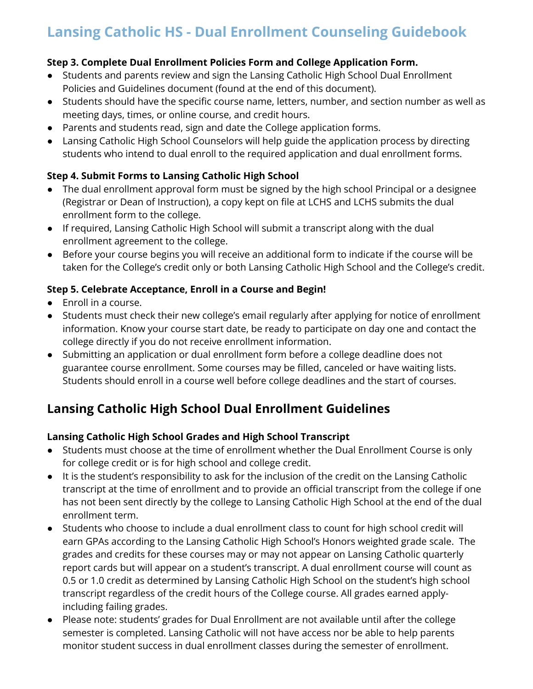### **Step 3. Complete Dual Enrollment Policies Form and College Application Form.**

- Students and parents review and sign the Lansing Catholic High School Dual Enrollment Policies and Guidelines document (found at the end of this document).
- Students should have the specific course name, letters, number, and section number as well as meeting days, times, or online course, and credit hours.
- Parents and students read, sign and date the College application forms.
- Lansing Catholic High School Counselors will help guide the application process by directing students who intend to dual enroll to the required application and dual enrollment forms.

### **Step 4. Submit Forms to Lansing Catholic High School**

- The dual enrollment approval form must be signed by the high school Principal or a designee (Registrar or Dean of Instruction), a copy kept on file at LCHS and LCHS submits the dual enrollment form to the college.
- If required, Lansing Catholic High School will submit a transcript along with the dual enrollment agreement to the college.
- Before your course begins you will receive an additional form to indicate if the course will be taken for the College's credit only or both Lansing Catholic High School and the College's credit.

### **Step 5. Celebrate Acceptance, Enroll in a Course and Begin!**

- Enroll in a course.
- Students must check their new college's email regularly after applying for notice of enrollment information. Know your course start date, be ready to participate on day one and contact the college directly if you do not receive enrollment information.
- Submitting an application or dual enrollment form before a college deadline does not guarantee course enrollment. Some courses may be filled, canceled or have waiting lists. Students should enroll in a course well before college deadlines and the start of courses.

## **Lansing Catholic High School Dual Enrollment Guidelines**

### **Lansing Catholic High School Grades and High School Transcript**

- Students must choose at the time of enrollment whether the Dual Enrollment Course is only for college credit or is for high school and college credit.
- It is the student's responsibility to ask for the inclusion of the credit on the Lansing Catholic transcript at the time of enrollment and to provide an official transcript from the college if one has not been sent directly by the college to Lansing Catholic High School at the end of the dual enrollment term.
- Students who choose to include a dual enrollment class to count for high school credit will earn GPAs according to the Lansing Catholic High School's Honors weighted grade scale. The grades and credits for these courses may or may not appear on Lansing Catholic quarterly report cards but will appear on a student's transcript. A dual enrollment course will count as 0.5 or 1.0 credit as determined by Lansing Catholic High School on the student's high school transcript regardless of the credit hours of the College course. All grades earned applyincluding failing grades.
- Please note: students' grades for Dual Enrollment are not available until after the college semester is completed. Lansing Catholic will not have access nor be able to help parents monitor student success in dual enrollment classes during the semester of enrollment.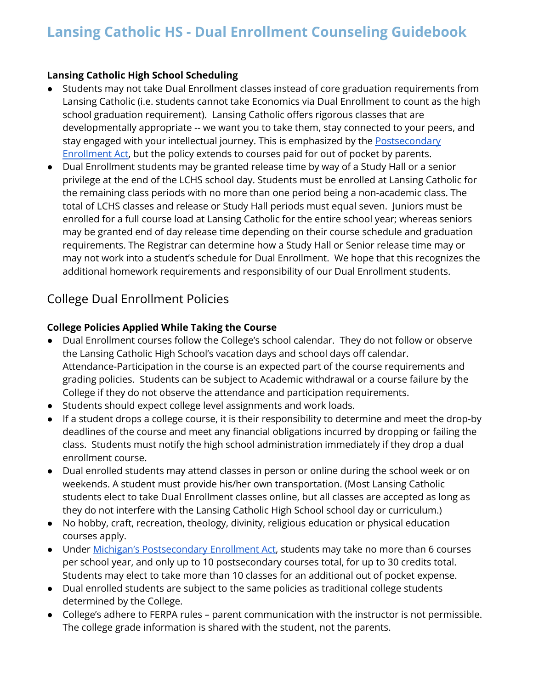### **Lansing Catholic High School Scheduling**

- Students may not take Dual Enrollment classes instead of core graduation requirements from Lansing Catholic (i.e. students cannot take Economics via Dual Enrollment to count as the high school graduation requirement). Lansing Catholic offers rigorous classes that are developmentally appropriate -- we want you to take them, stay connected to your peers, and stay engaged with your intellectual journey. This is emphasized by the [Postsecondary](http://www.legislature.mi.gov/(S(1umwgt25qnhbhe2nkfsup3k5))/documents/mcl/pdf/mcl-Act-160-of-1996.pdf) [Enrollment](http://www.legislature.mi.gov/(S(1umwgt25qnhbhe2nkfsup3k5))/documents/mcl/pdf/mcl-Act-160-of-1996.pdf) Act, but the policy extends to courses paid for out of pocket by parents.
- Dual Enrollment students may be granted release time by way of a Study Hall or a senior privilege at the end of the LCHS school day. Students must be enrolled at Lansing Catholic for the remaining class periods with no more than one period being a non-academic class. The total of LCHS classes and release or Study Hall periods must equal seven. Juniors must be enrolled for a full course load at Lansing Catholic for the entire school year; whereas seniors may be granted end of day release time depending on their course schedule and graduation requirements. The Registrar can determine how a Study Hall or Senior release time may or may not work into a student's schedule for Dual Enrollment. We hope that this recognizes the additional homework requirements and responsibility of our Dual Enrollment students.

## College Dual Enrollment Policies

### **College Policies Applied While Taking the Course**

- Dual Enrollment courses follow the College's school calendar. They do not follow or observe the Lansing Catholic High School's vacation days and school days off calendar. Attendance-Participation in the course is an expected part of the course requirements and grading policies. Students can be subject to Academic withdrawal or a course failure by the College if they do not observe the attendance and participation requirements.
- Students should expect college level assignments and work loads.
- If a student drops a college course, it is their responsibility to determine and meet the drop-by deadlines of the course and meet any financial obligations incurred by dropping or failing the class. Students must notify the high school administration immediately if they drop a dual enrollment course.
- Dual enrolled students may attend classes in person or online during the school week or on weekends. A student must provide his/her own transportation. (Most Lansing Catholic students elect to take Dual Enrollment classes online, but all classes are accepted as long as they do not interfere with the Lansing Catholic High School school day or curriculum.)
- No hobby, craft, recreation, theology, divinity, religious education or physical education courses apply.
- Under Michigan's [Postsecondary](http://www.legislature.mi.gov/(S(1umwgt25qnhbhe2nkfsup3k5))/documents/mcl/pdf/mcl-Act-160-of-1996.pdf) Enrollment Act, students may take no more than 6 courses per school year, and only up to 10 postsecondary courses total, for up to 30 credits total. Students may elect to take more than 10 classes for an additional out of pocket expense.
- Dual enrolled students are subject to the same policies as traditional college students determined by the College.
- College's adhere to FERPA rules parent communication with the instructor is not permissible. The college grade information is shared with the student, not the parents.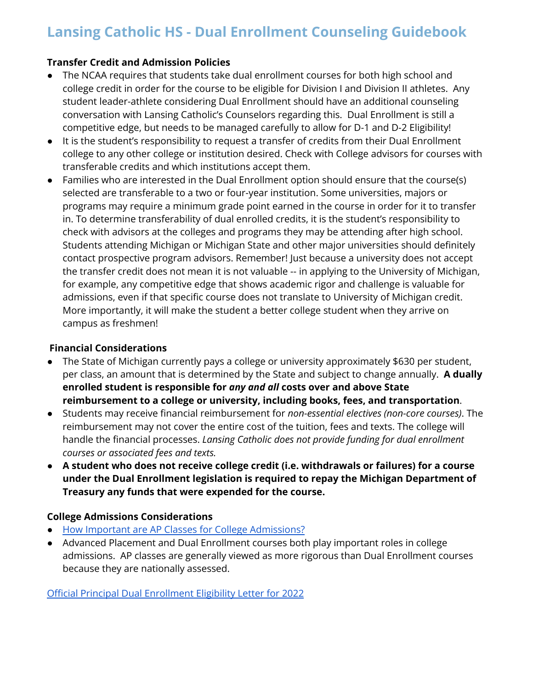### **Transfer Credit and Admission Policies**

- The NCAA requires that students take dual enrollment courses for both high school and college credit in order for the course to be eligible for Division I and Division II athletes. Any student leader-athlete considering Dual Enrollment should have an additional counseling conversation with Lansing Catholic's Counselors regarding this. Dual Enrollment is still a competitive edge, but needs to be managed carefully to allow for D-1 and D-2 Eligibility!
- It is the student's responsibility to request a transfer of credits from their Dual Enrollment college to any other college or institution desired. Check with College advisors for courses with transferable credits and which institutions accept them.
- Families who are interested in the Dual Enrollment option should ensure that the course(s) selected are transferable to a two or four-year institution. Some universities, majors or programs may require a minimum grade point earned in the course in order for it to transfer in. To determine transferability of dual enrolled credits, it is the student's responsibility to check with advisors at the colleges and programs they may be attending after high school. Students attending Michigan or Michigan State and other major universities should definitely contact prospective program advisors. Remember! Just because a university does not accept the transfer credit does not mean it is not valuable -- in applying to the University of Michigan, for example, any competitive edge that shows academic rigor and challenge is valuable for admissions, even if that specific course does not translate to University of Michigan credit. More importantly, it will make the student a better college student when they arrive on campus as freshmen!

### **Financial Considerations**

- The State of Michigan currently pays a college or university approximately \$630 per student, per class, an amount that is determined by the State and subject to change annually. **A dually enrolled student is responsible for** *any and all* **costs over and above State reimbursement to a college or university, including books, fees, and transportation**.
- Students may receive financial reimbursement for *non-essential electives (non-core courses)*. The reimbursement may not cover the entire cost of the tuition, fees and texts. The college will handle the financial processes. *Lansing Catholic does not provide funding for dual enrollment courses or associated fees and texts.*
- **● A student who does not receive college credit (i.e. withdrawals or failures) for a course under the Dual Enrollment legislation is required to repay the Michigan Department of Treasury any funds that were expended for the course.**

### **College Admissions Considerations**

- How Important are AP Classes for College [Admissions?](https://www.today.com/parents/how-important-are-ap-classes-college-admissions-t232574)
- Advanced Placement and Dual Enrollment courses both play important roles in college admissions. AP classes are generally viewed as more rigorous than Dual Enrollment courses because they are nationally assessed.

Official Principal Dual [Enrollment](https://drive.google.com/file/d/1FMMY3-4GKh2RoKJQc19tirf8_9W7a-qy/view?usp=sharing) Eligibility Letter for 2022